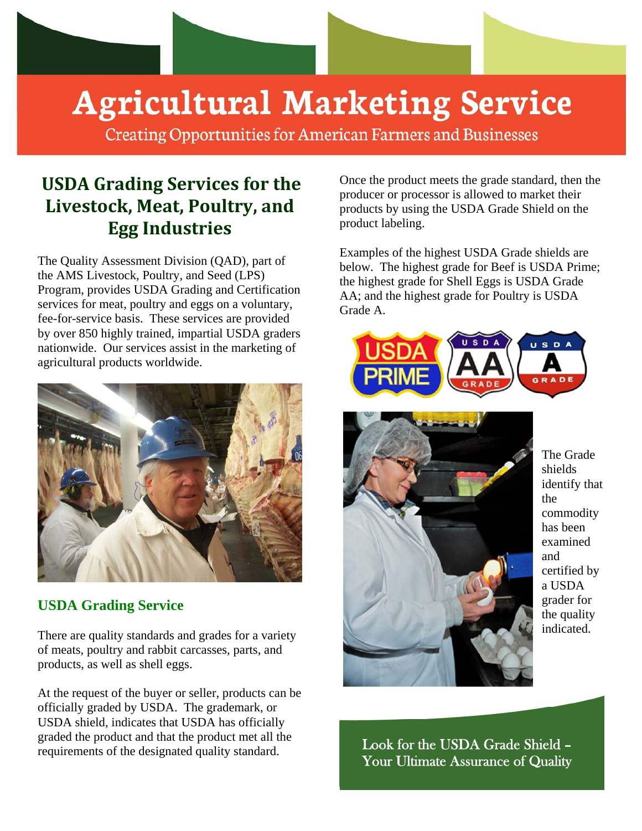

# **Agricultural Marketing Service**

**Creating Opportunities for American Farmers and Businesses** 

# **USDA Grading Services for the Livestock, Meat, Poultry, and Egg Industries**

The Quality Assessment Division (QAD), part of the AMS Livestock, Poultry, and Seed (LPS) Program, provides USDA Grading and Certification services for meat, poultry and eggs on a voluntary, fee-for-service basis. These services are provided by over 850 highly trained, impartial USDA graders nationwide. Our services assist in the marketing of agricultural products worldwide.



## **USDA Grading Service**

There are quality standards and grades for a variety of meats, poultry and rabbit carcasses, parts, and products, as well as shell eggs.

At the request of the buyer or seller, products can be officially graded by USDA. The grademark, or USDA shield, indicates that USDA has officially graded the product and that the product met all the requirements of the designated quality standard.

Once the product meets the grade standard, then the producer or processor is allowed to market their products by using the USDA Grade Shield on the product labeling.

Examples of the highest USDA Grade shields are below. The highest grade for Beef is USDA Prime; the highest grade for Shell Eggs is USDA Grade AA; and the highest grade for Poultry is USDA Grade A.





The Grade shields identify that the commodity has been examined and certified by a USDA grader for the quality indicated.

Look for the USDA Grade Shield – Your Ultimate Assurance of Quality